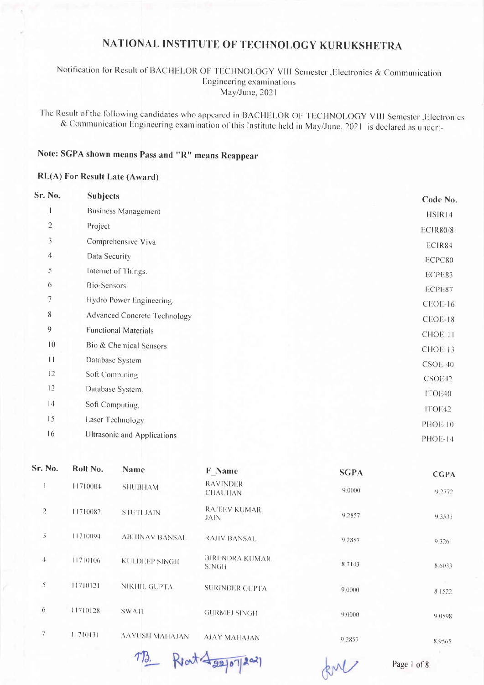#### Notification for Result of BACHELOR OF TECHNOLOGY VIII Semester , Electronics & Communication Engineering examinations May/June, 2021

The Result of the following candidates who appeared in BACHELOR OF TECHNOLOGY VIII Semester , Electronics & Communication Engineering examination of this Institute held in May/June, 2021 is declared as under:-

# Note: SGPA shown means Pass and "R" means Reappear

#### **RL(A) For Result Late (Award)**

| Sr. No.         | <b>Subjects</b>                     | Code No.         |
|-----------------|-------------------------------------|------------------|
|                 | <b>Business Management</b>          | HSIR14           |
| $\overline{c}$  | Project                             | <b>ECIR80/81</b> |
| 3               | Comprehensive Viva                  | ECIR84           |
| $\overline{4}$  | Data Security                       | ECPC80           |
| 5               | Internet of Things.                 | ECPE83           |
| 6               | <b>Bio-Sensors</b>                  | ECPE87           |
| 7               | Hydro Power Engineering.            | CEOE-16          |
| 8               | <b>Advanced Concrete Technology</b> | CEOE-18          |
| 9               | <b>Functional Materials</b>         | CHOE-11          |
| $\overline{10}$ | Bio & Chemical Sensors              | CHOE-13          |
| $\Box$          | Database System                     | $CSOE-40$        |
| 12              | Soft Computing                      | CSOE42           |
| 13              | Database System.                    | ITOE40           |
| 4               | Soft Computing.                     | ITOE42           |
| 15              | Laser Technology                    |                  |
| 16              | Ultrasonic and Applications         | <b>PHOE-10</b>   |
|                 |                                     | PHOE-14          |

| Sr. No.        | Roll No. | <b>Name</b>            | <b>F</b> Name                      | <b>SGPA</b> | <b>CGPA</b> |
|----------------|----------|------------------------|------------------------------------|-------------|-------------|
|                | 11710004 | <b>SHUBHAM</b>         | <b>RAVINDER</b><br><b>CHAUHAN</b>  | 9.0000      | 9.2772      |
| $\overline{2}$ | 11710082 | <b>STUTI JAIN</b>      | <b>RAJEEV KUMAR</b><br><b>JAIN</b> | 9.2857      | 9.3533      |
| 3              | 11710094 | <b>ABIIINAV BANSAL</b> | <b>RAJIV BANSAL</b>                | 9.2857      | 9.3261      |
| 4              | 11710106 | <b>KULDEEP SINGH</b>   | <b>BIRENDRA KUMAR</b><br>SINGH     | 8.7143      | 8.6033      |
| 5              | 11710121 | NIKHIL GUPTA           | <b>SURINDER GUPTA</b>              | 9.0000      | 8.1522      |
| 6              | 11710128 | <b>SWATI</b>           | <b>GURMEJ SINGH</b>                | 9.0000      | 9.0598      |
| 7              | 11710131 | <b>AAYUSH MAHAJAN</b>  | <b>AJAY MAHAJAN</b>                | 9.2857      | 8.9565      |

1B. Rent 422/07/2021

RM

Page 1 of 8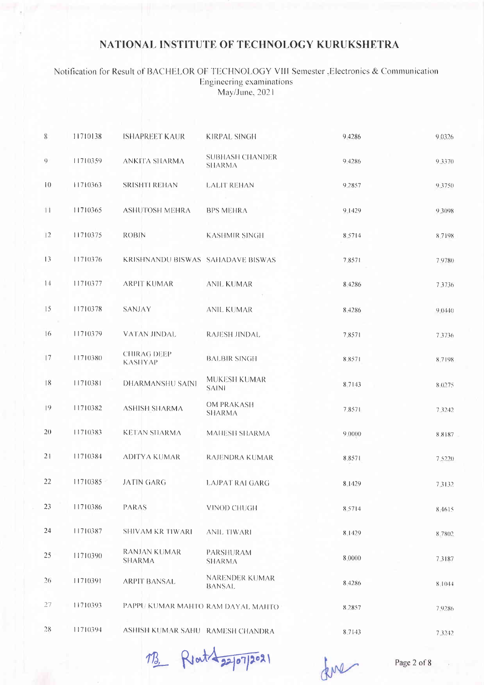#### Notification for Result of BACHELOR OF TECHNOLOGY VIII Semester , Electronics & Communication Engineering examinations May/June, 2021

| 8           | 11710138 | <b>ISHAPREET KAUR</b>                | <b>KIRPAL SINGH</b>                     | 9 4 2 8 6 | 9.0326    |
|-------------|----------|--------------------------------------|-----------------------------------------|-----------|-----------|
| 9.          | 11710359 | ANKITA SHARMA                        | <b>SUBHASH CHANDER</b><br><b>SHARMA</b> | 9 4286    | 9.3370    |
| 10          | 11710363 | <b>SRISHTI REHAN</b>                 | <b>LALIT REHAN</b>                      | 9.2857    | 9.3750    |
| 11          | 11710365 | <b>ASHUTOSH MEHRA</b>                | <b>BPS MEHRA</b>                        | 9.1429    | 9.3098    |
| 12          | 11710375 | <b>ROBIN</b>                         | <b>KASHMIR SINGH</b>                    | 8.5714    | 8.7198    |
| 13          | 11710376 | KRISHNANDU BISWAS SAHADAVE BISWAS    |                                         | 7.8571    | 7.9780    |
| 14          | 11710377 | <b>ARPIT KUMAR</b>                   | <b>ANIL KUMAR</b>                       | 8 4 2 8 6 | 7.3736    |
| 15          | 11710378 | <b>SANJAY</b>                        | <b>ANIL KUMAR</b>                       | 8 4 2 8 6 | 9(0440)   |
| 16          | 11710379 | VATAN JINDAL                         | <b>RAJESH JINDAL</b>                    | 7,8571    | 7.3736    |
| 17          | 11710380 | <b>CHIRAG DEEP</b><br><b>KASHYAP</b> | <b>BALBIR SINGH</b>                     | 8.8571    | 8.7198    |
| $\sqrt{18}$ | 11710381 | <b>DHARMANSHU SAINI</b>              | MUKESH KUMAR<br><b>SAINI</b>            | 8.7143    | 8.0275    |
| 19          | 11710382 | <b>ASHISH SHARMA</b>                 | <b>OM PRAKASH</b><br><b>SHARMA</b>      | 7.8571    | 7 3 2 4 2 |
| 20          | 11710383 | <b>KETAN SHARMA</b>                  | MAHESH SHARMA                           | 9.0000    | 88187     |
| 21          | 11710384 | <b>ADITYA KUMAR</b>                  | <b>RAJENDRA KUMAR</b>                   | 8.8571    | 7.5220    |
| 22          | 11710385 | <b>JATIN GARG</b>                    | <b>LAJPAT RAI GARG</b>                  | 8.1429    | 7.3132    |
| 23          | 11710386 | <b>PARAS</b>                         | VINOD CHUGH                             | 8.5714    | 8.4615    |
| 24          | 11710387 | SHIVAM KR TIWARI                     | ANIL TIWARI                             | 8.1429    | 8.7802    |
| 25          | 11710390 | <b>RANJAN KUMAR</b><br><b>SHARMA</b> | PARSHURAM<br><b>SHARMA</b>              | 8.0000    | 73187     |
| 26          | 11710391 | <b>ARPIT BANSAL</b>                  | <b>NARENDER KUMAR</b><br><b>BANSAL</b>  | 8.4286    | 8,10.14   |
| 27          | 11710393 | PAPPU KUMAR MAHTO RAM DAYAL MAHTO    |                                         | 8.2857    | 7.9286    |
| 28          | 11710394 | ASHISH KUMAR SAHU RAMESH CHANDRA     |                                         | 8.7143    | 7.3242    |

1B Rent 22/07/2021

dene

Page 2 of 8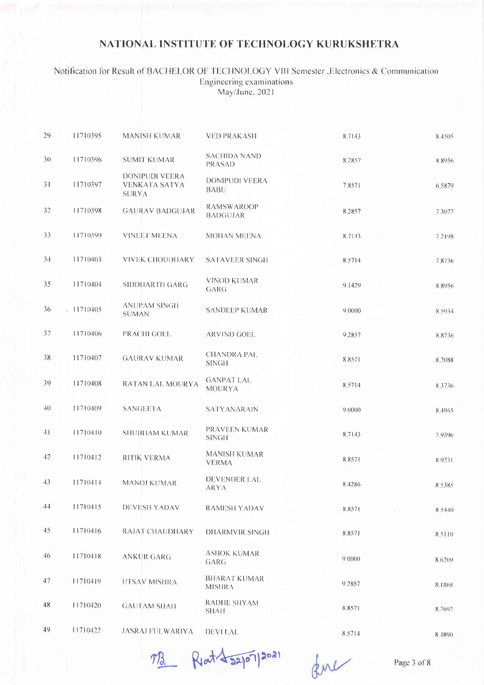#### Notification for Result of BACHELOR OF TECHNOLOGY VIII Semester , Electronics & Communication Engineering examinations May/June, 2021

| 29  | 11710395 | <b>MANISH KUMAR</b>                                           | <b>VED PRAKASH</b>                   | 8.7143    | 8.4505    |
|-----|----------|---------------------------------------------------------------|--------------------------------------|-----------|-----------|
| 3() | 11710396 | <b>SUMIT KUMAR</b>                                            | <b>SACHIDA NAND</b><br><b>PRASAD</b> | 8.2857    | 8.8956    |
| 31  | 11710397 | <b>DONIPUDI VEERA</b><br><b>VENKATA SATYA</b><br><b>SURYA</b> | <b>DONIPUDI VEERA</b><br><b>BABU</b> | 7.8571    | 6.5879    |
| 32  | 11710398 | <b>GAURAV BADGUJAR</b>                                        | <b>RAMSWAROOP</b><br><b>BADGUJAR</b> | 8,2857    | 7,3077    |
| 33  | 11710399 | <b>VINEET MEENA</b>                                           | <b>MOHAN MEENA</b>                   | 8,7143    | 7.2198    |
| 34  | 11710403 | <b>VIVEK CHOUDHARY</b>                                        | <b>SATAVEER SINGH</b>                | 8.5714    | 78736     |
| 35  | 11710404 | SIDDHARTH GARG                                                | <b>VINOD KUMAR</b><br>GARG           | 9.1429    | 8.8956    |
| 36  | 11710405 | <b>ANUPAM SINGH</b><br><b>SUMAN</b>                           | <b>SANDEEP KUMAR</b>                 | 9.0000    | 8.5934    |
| 37  | 11710406 | PRACHI GOEL                                                   | <b>ARVIND GOEL</b>                   | 9.2857    | 8.8736    |
| 38  | 11710407 | <b>GAURAV KUMAR</b>                                           | <b>CHANDRA PAL</b><br><b>SINGH</b>   | 8.8571    | 8.2088    |
| 39  | 11710408 | RATAN LAL MOURYA                                              | <b>GANPAT LAL</b><br><b>MOURYA</b>   | 8,5714    | 8 3 7 3 6 |
| 40  | 11710409 | <b>SANGEETA</b>                                               | <b>SATYANARAIN</b>                   | 9.0000    | 8.4945    |
| 41  | 11710410 | <b>SHUBHAM KUMAR</b>                                          | PRAVEEN KUMAR<br><b>SINGH</b>        | 8.7143    | 7.9396    |
| 42  | 11710412 | RITIK VERMA                                                   | <b>MANISH KUMAR</b><br><b>VERMA</b>  | 8.8571    | 8.9231    |
| 43  | 11710414 | <b>MANOJ KUMAR</b>                                            | <b>DEVENDER LAL</b><br><b>ARYA</b>   | 8 4 2 8 6 | 8.5385    |
| 44  | 11710415 | DEVESH YADAV                                                  | <b>RAMESH YADAV</b>                  | 88571     | 8.5440    |
| 45  | 11710416 | <b>RAJAT CHAUDHARY</b>                                        | <b>DHARMVIR SINGH</b>                | 8.8571    | 8,5110    |
| 46  | 11710418 | <b>ANKUR GARG</b>                                             | <b>ASHOK KUMAR</b><br>GARG           | 9,0000    | 8.6209    |
| 47  | 11710419 | UTSAV MISHRA                                                  | <b>BHARAT KUMAR</b><br><b>MISHRA</b> | 9.2857    | 8.1868    |
| 48  | 11710420 | <b>GAUTAM SHAH</b>                                            | RADHE SHYAM<br><b>SHAH</b>           | 8.8571    | 8.7692    |
| 49  | 11710422 | <b>JASRAJ FULWARIYA</b>                                       | <b>DEVILAL</b>                       | 8.5714    | 8.4890    |

MB Riat 4 22/07/2021

fue

Page 3 of 8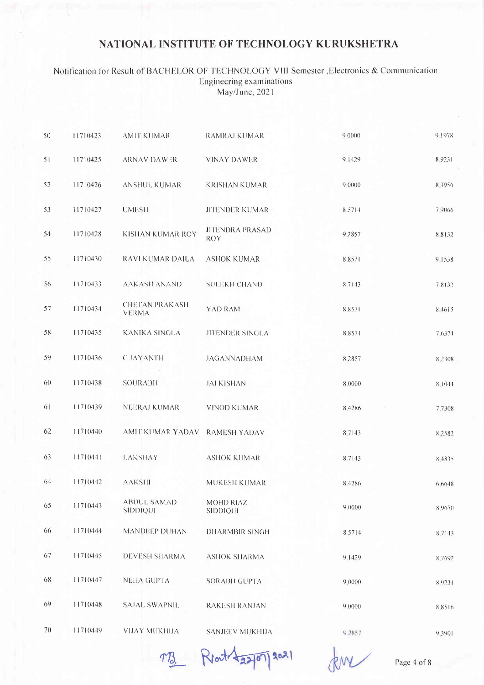#### Notification for Result of BACHELOR OF TECHNOLOGY VIII Semester , Electronics & Communication Engineering examinations May/June, 2021

| 5() | 11710423 | <b>AMIT KUMAR</b>                     | <b>RAMRAJ KUMAR</b>                  | 9,0000 | 9 1978 |
|-----|----------|---------------------------------------|--------------------------------------|--------|--------|
| 51  | 11710425 | <b>ARNAV DAWER</b>                    | VINAY DAWER                          | 9.1429 | 8.9231 |
| 52  | 11710426 | <b>ANSHUL KUMAR</b>                   | <b>KRISHAN KUMAR</b>                 | 9,0000 | 8.3956 |
| 53  | 11710427 | <b>UMESH</b>                          | <b>JITENDER KUMAR</b>                | 8:5714 | 7.9066 |
| 54  | 11710428 | KISHAN KUMAR ROY                      | <b>JITENDRA PRASAD</b><br><b>ROY</b> | 9,2857 | 8.8132 |
| 55  | 11710430 | RAVI KUMAR DAILA                      | <b>ASHOK KUMAR</b>                   | 8.8571 | 9.1538 |
| 56  | 11710433 | <b>AAKASH ANAND</b>                   | <b>SULEKH CHAND</b>                  | 8.7143 | 7.8132 |
| 57  | 11710434 | <b>CHETAN PRAKASH</b><br><b>VERMA</b> | YAD RAM                              | 8.8571 | 8.4615 |
| 58  | 11710435 | <b>KANIKA SINGLA</b>                  | JITENDER SINGLA                      | 8.8571 | 7.6374 |
| 59  | 11710436 | <b>CJAYANTH</b>                       | <b>JAGANNADHAM</b>                   | 8.2857 | 8.2308 |
| 60  | 11710438 | <b>SOURABH</b>                        | <b>JAI KISHAN</b>                    | 8.0000 | 8.1044 |
| 61  | 11710439 | NEERAJ KUMAR                          | <b>VINOD KUMAR</b>                   | 8.4286 | 7.7308 |
| 62  | 11710440 | AMIT KUMAR YADAV RAMESH YADAV         |                                      | 8.7143 | 8.2582 |
| 63  | 11710441 | <b>LAKSHAY</b>                        | <b>ASHOK KUMAR</b>                   | 8.7143 | 8.4835 |
| 64  | 11710442 | <b>AAKSHI</b>                         | MUKESH KUMAR                         | 8.4286 | 6.6648 |
| 65  | 11710443 | <b>ABDUL SAMAD</b><br>SIDDIQUI        | MOHD RIAZ<br>SIDDIQUI                | 9.0000 | 8.9670 |
| 66  | 11710444 | <b>MANDEEP DUHAN</b>                  | DHARMBIR SINGH                       | 8.5714 | 8.7143 |
| 67  | 11710445 | DEVESH SHARMA                         | <b>ASHOK SHARMA</b>                  | 9.1429 | 8.7692 |
| 68  | 11710447 | <b>NEHA GUPTA</b>                     | SORABH GUPTA                         | 9.0000 | 8.9231 |
| 69  | 11710448 | SAJAL SWAPNIL                         | <b>RAKESH RANJAN</b>                 | 90000  | 8.8516 |
| 70  | 11710449 | VIJAY MUKHIJA                         | SANJEEV MUKHIJA                      | 9.2857 | 9.3901 |

M3 Reat 22/07/2021

Page 4 of 8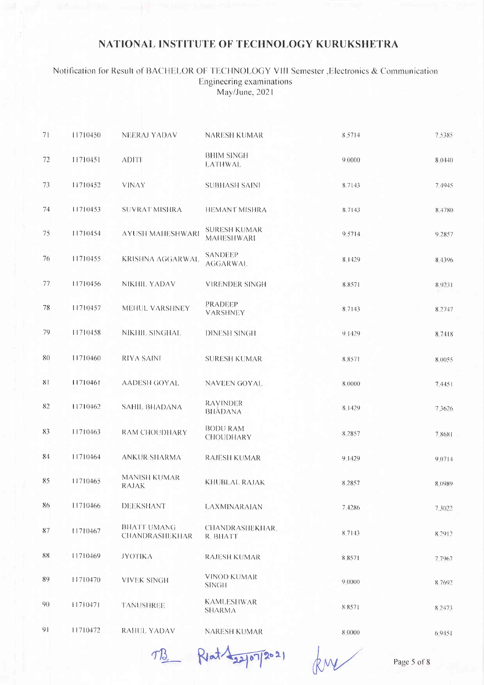#### Notification for Result of BACHELOR OF TECHNOLOGY VIII Semester , Electronics & Communication Engineering examinations May/June, 2021

| 71 | 11710450 | <b>NEERAJ YADAV</b>                  | NARESH KUMAR                             | 8.5714 | 7.5385  |
|----|----------|--------------------------------------|------------------------------------------|--------|---------|
| 72 | 11710451 | <b>ADITI</b>                         | <b>BHIM SINGH</b><br><b>LATHWAL</b>      | 9.0000 | 8(0440) |
| 73 | 11710452 | <b>VINAY</b>                         | <b>SUBHASH SAINI</b>                     | 8.7143 | 7.4945  |
| 74 | 11710453 | <b>SUVRAT MISHRA</b>                 | <b>HEMANT MISHRA</b>                     | 8,7143 | 8.4780  |
| 75 | 11710454 | <b>AYUSH MAHESHWARI</b>              | <b>SURESH KUMAR</b><br><b>MAHESHWARI</b> | 9,5714 | 9.2857  |
| 76 | 11710455 | <b>KRISHNA AGGARWAL</b>              | <b>SANDEEP</b><br><b>AGGARWAL</b>        | 8.1429 | 8.4396  |
| 77 | 11710456 | NIKHIL YADAV                         | <b>VIRENDER SINGH</b>                    | 8.8571 | 8.9231  |
| 78 | 11710457 | MEHUL VARSHNEY                       | <b>PRADEEP</b><br><b>VARSHNEY</b>        | 8.7143 | 8.2747  |
| 79 | 11710458 | NIKHIL SINGHAL                       | <b>DINESH SINGH</b>                      | 9.1429 | 8.7418  |
| 80 | 11710460 | <b>RIYA SAINI</b>                    | <b>SURESH KUMAR</b>                      | 8.8571 | 8.0055  |
| 81 | 11710461 | AADESH GOYAL                         | <b>NAVEEN GOYAL</b>                      | 8,0000 | 74451   |
| 82 | 11710462 | <b>SAHIL BHADANA</b>                 | <b>RAVINDER</b><br><b>BHADANA</b>        | 8.1429 | 7.3626  |
| 83 | 11710463 | <b>RAM CHOUDHARY</b>                 | <b>BODU RAM</b><br><b>CHOUDHARY</b>      | 8.2857 | 78681   |
| 84 | 11710464 | ANKUR SHARMA                         | <b>RAJESH KUMAR</b>                      | 9.1429 | 9.0714  |
| 85 | 11710465 | <b>MANISH KUMAR</b><br><b>RAJAK</b>  | KHUBLAL RAJAK                            | 8.2857 | 8.0989  |
| 86 | 11710466 | <b>DEEKSHANT</b>                     | <b>LAXMINARAIAN</b>                      | 7.4286 | 7.3022  |
| 87 | 11710467 | <b>BHATT UMANG</b><br>CHANDRASHEKHAR | <b>CHANDRASHEKHAR.</b><br>R. BHATT       | 8.7143 | 8.2912  |
| 88 | 11710469 | <b>JYOTIKA</b>                       | <b>RAJESH KUMAR</b>                      | 8.8571 | 7.7967  |
| 89 | 11710470 | <b>VIVEK SINGH</b>                   | <b>VINOD KUMAR</b><br><b>SINGH</b>       | 9.0000 | 8 7692  |
| 90 | 11710471 | <b>TANUSHREE</b>                     | <b>KAMLESHWAR</b><br><b>SHARMA</b>       | 8.8571 | 8.2473  |
| 91 | 11710472 | <b>RAHUL YADAV</b>                   | <b>NARESH KUMAR</b>                      | 8 0000 | 6.9451  |

TB Riat 12/07/2021

Page 5 of 8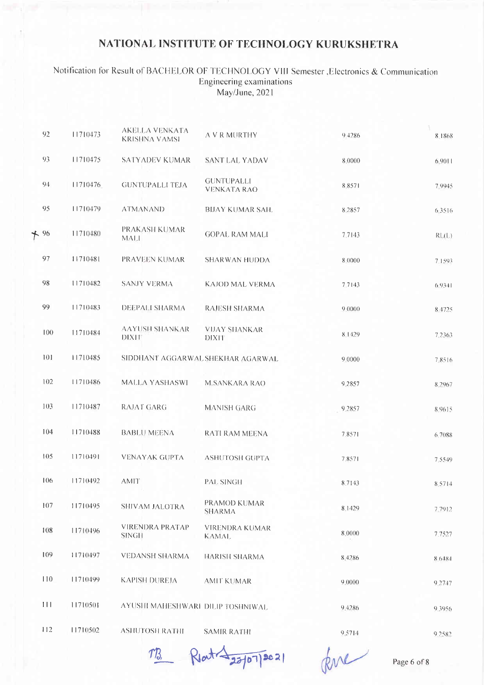#### Notification for Result of BACHELOR OF TECHNOLOGY VIII Semester , Electronics & Communication Engineering examinations May/June, 2021

| 92    | 11710473 | AKELLA VENKATA<br><b>KRISHNA VAMSI</b> | A V R MURTHY                            | 94286  | 8.1868     |
|-------|----------|----------------------------------------|-----------------------------------------|--------|------------|
| 93    | 11710475 | SATYADEV KUMAR                         | <b>SANT LAL YADAV</b>                   | 8.0000 | 6.9011     |
| 94    | 11710476 | <b>GUNTUPALLI TEJA</b>                 | <b>GUNTUPALLI</b><br><b>VENKATA RAO</b> | 8.8571 | 7.9945     |
| 95    | 11710479 | <b>ATMANAND</b>                        | <b>BIJAY KUMAR SAH.</b>                 | 8 2857 | 6.3516     |
| $+96$ | 11710480 | PRAKASH KUMAR<br><b>MALI</b>           | <b>GOPAL RAM MALI</b>                   | 7.7143 | RL(L)      |
| 97    | 11710481 | PRAVEEN KUMAR                          | <b>SHARWAN HUDDA</b>                    | 8.0000 | 7.1593     |
| 98    | 11710482 | <b>SANJY VERMA</b>                     | KAJOD MAL VERMA                         | 7.7143 | $6.93 + 1$ |
| 99    | 11710483 | DEEPALI SHARMA                         | <b>RAJESH SHARMA</b>                    | 9,0000 | 8 4725     |
| 100   | 11710484 | <b>AAYUSH SHANKAR</b><br>DIXIT         | <b>VIJAY SHANKAR</b><br>DIXIT           | 8.1429 | 7.2363     |
| 101   | 11710485 | SIDDHANT AGGARWAL SHEKHAR AGARWAL      |                                         | 9 0000 | 7,8516     |
| 102   | 11710486 | MALLA YASHASWI                         | <b>M.SANKARA RAO</b>                    | 9.2857 | 8 2 9 6 7  |
| 103   | 11710487 | RAJAT GARG                             | <b>MANISH GARG</b>                      | 9.2857 | 8.9615     |
| 104   | 11710488 | <b>BABLU MEENA</b>                     | RATI RAM MEENA                          | 7.8571 | 6 7088     |
| 105   | 11710491 | <b>VENAYAK GUPTA</b>                   | <b>ASHUTOSH GUPTA</b>                   | 7.8571 | 7.5549     |
| 106   | 11710492 | <b>AMIT</b>                            | <b>PAL SINGH</b>                        | 8.7143 | 8.5714     |
| 107   | 11710495 | SHIVAM JALOTRA                         | PRAMOD KUMAR<br><b>SHARMA</b>           | 8.1429 | 7.7912     |
| 108   | 11710496 | <b>VIRENDRA PRATAP</b><br><b>SINGH</b> | VIRENDRA KUMAR<br><b>KAMAL</b>          | 8.0000 | 7.7527     |
| 109   | 11710497 | <b>VEDANSH SHARMA</b>                  | <b>HARISH SHARMA</b>                    | 8.4286 | 86484      |
| 110   | 11710499 | <b>KAPISH DUREJA</b>                   | <b>AMIT KUMAR</b>                       | 9.0000 | 9.2747     |
| 111   | 11710501 | AYUSHI MAHESHWARI DILIP TOSHNIWAL      |                                         | 9.4286 | 9 3956     |
| 112   | 11710502 | <b>ASHUTOSH RATHI</b>                  | <b>SAMIR RATHI</b>                      | 9,5714 | 9.2582     |

Rlat -22/07/2021  $T$ B

Rue

Page 6 of 8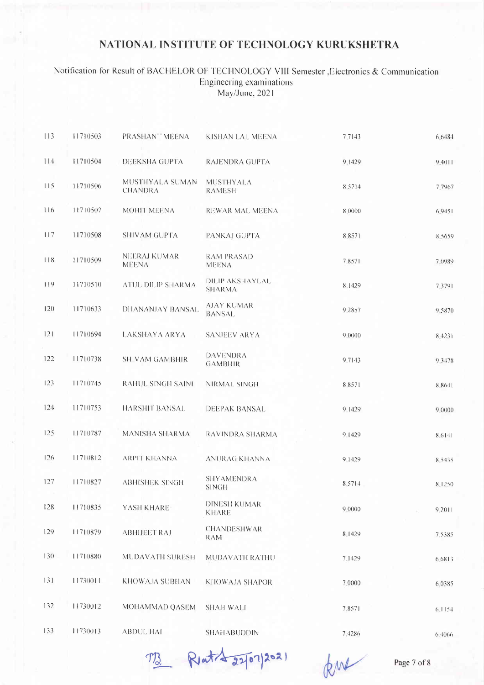#### Notification for Result of BACHELOR OF TECHNOLOGY VIII Semester , Electronics & Communication Engineering examinations May/June, 2021

| 113 | 11710503 | PRASHANT MEENA                      | KISHAN LAL MEENA                   | 7.7143 | 6.6484     |
|-----|----------|-------------------------------------|------------------------------------|--------|------------|
| 114 | 11710504 | DEEKSHA GUPTA                       | RAJENDRA GUPTA                     | 9,1429 | 9.4011     |
| 115 | 11710506 | MUSTHYALA SUMAN<br><b>CHANDRA</b>   | <b>MUSTHYALA</b><br><b>RAMESH</b>  | 8,5714 | 7.7967     |
| 116 | 11710507 | MOHIT MEENA                         | REWAR MAL MEENA                    | 8.0000 | 6.9451     |
| 117 | 11710508 | SHIVAM GUPTA                        | PANKAJ GUPTA                       | 8.8571 | 8.5659     |
| 118 | 11710509 | <b>NEERAJ KUMAR</b><br><b>MEENA</b> | <b>RAM PRASAD</b><br><b>MEENA</b>  | 7,8571 | 7.0989     |
| 119 | 11710510 | ATUL DILIP SHARMA                   | DILIP AKSHAYLAL<br><b>SHARMA</b>   | 8.1429 | 7.3791     |
| 120 | 11710633 | DHANANJAY BANSAL                    | <b>AJAY KUMAR</b><br><b>BANSAL</b> | 9.2857 | 9.5870     |
| 121 | 11710694 | <b>LAKSHAYA ARYA</b>                | <b>SANJEEV ARYA</b>                | 9.0000 | 8.4231     |
| 122 | 11710738 | <b>SHIVAM GAMBHIR</b>               | <b>DAVENDRA</b><br><b>GAMBHIR</b>  | 9.7143 | 93478      |
| 123 | 11710745 | <b>RAHUL SINGH SAINI</b>            | NIRMAL SINGH                       | 8.8571 | 8.8641     |
| 124 | 11710753 | <b>HARSHIT BANSAL</b>               | <b>DEEPAK BANSAL</b>               | 9.1429 | 9.0000     |
| 125 | 11710787 | MANISHA SHARMA                      | RAVINDRA SHARMA                    | 9.1429 | 8.6141     |
| 126 | 11710812 | <b>ARPIT KHANNA</b>                 | ANURAG KHANNA                      | 9.1429 | 8.5435     |
| 127 | 11710827 | <b>ABHISHEK SINGH</b>               | <b>SHYAMENDRA</b><br><b>SINGH</b>  | 8.5714 | $8 - 1250$ |
| 128 | 11710835 | YASH KHARE                          | DINESH KUMAR<br><b>KHARE</b>       | 9.0000 | 9,2011     |
| 129 | 11710879 | <b>ABHIJEET RAJ</b>                 | <b>CHANDESHWAR</b><br>RAM          | 8.1429 | 7.5385     |
| 130 | 11710880 | MUDAVATH SURESH                     | MUDAVATH RATHU                     | 7.1429 | 6.6813     |
| 131 | 11730011 | KHOWAJA SUBHAN                      | <b>KHOWAJA SHAPOR</b>              | 7.0000 | 6.0385     |
| 132 | 11730012 | MOHAMMAD QASEM                      | <b>SHAH WALI</b>                   | 7.8571 | 6.1154     |
| 133 | 11730013 | <b>ABDUL HAI</b>                    | <b>SHAHABUDDIN</b>                 | 7.4286 | 6.4066     |

TB Rette 22/07/2021

kur

Page 7 of 8